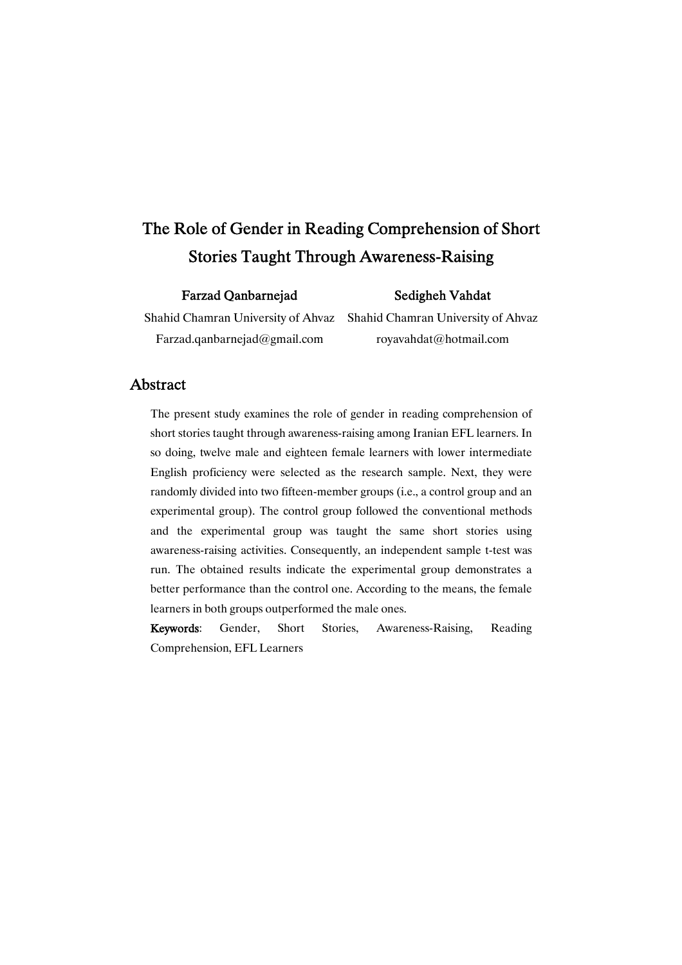# The Role of Gender in Reading Comprehension of Short Stories Taught Through Awareness-Raising

### FarzadQanbarnejad

### Sedigheh Vahdat

Shahid Chamran University of Ahvaz Farzad.qanbarnejad@gmail.com

Shahid Chamran University of Ahvaz royavahdat@hotmail.com

# Abstract

The present study examines the role of gender in reading comprehension of short stories taught through awareness-raising among Iranian EFL learners. In so doing, twelve male and eighteen female learners with lower intermediate English proficiency were selected as the research sample. Next, they were randomly divided into two fifteen-member groups (i.e., a control group and an experimental group). The control group followed the conventional methods and the experimental group was taught the same short stories using awareness-raising activities. Consequently, an independent sample t-test was run. The obtained results indicate the experimental group demonstrates a better performance than the control one. According to the means, the female learners in both groups outperformed the male ones.

Keywords: Gender, Short Stories, Awareness-Raising, Reading Comprehension, EFL Learners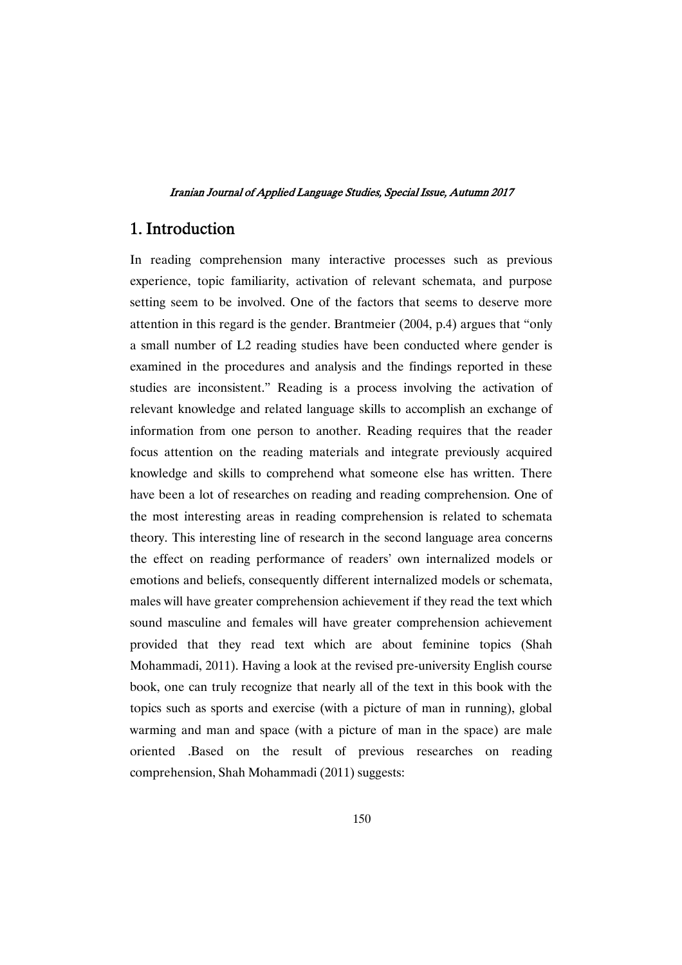# 1.Introduction

In reading comprehension many interactive processes such as previous experience, topic familiarity, activation of relevant schemata, and purpose setting seem to be involved. One of the factors that seems to deserve more attention in this regard is the gender. Brantmeier (2004, p.4) argues that "only a small number of L2 reading studies have been conducted where gender is examined in the procedures and analysis and the findings reported in these studies are inconsistent." Reading is a process involving the activation of relevant knowledge and related language skills to accomplish an exchange of information from one person to another. Reading requires that the reader focus attention on the reading materials and integrate previously acquired knowledge and skills to comprehend what someone else has written. There have been a lot of researches on reading and reading comprehension. One of the most interesting areas in reading comprehension is related to schemata theory. This interesting line of research in the second language area concerns the effect on reading performance of readers' own internalized models or emotions and beliefs, consequently different internalized models or schemata, males will have greater comprehension achievement if they read the text which sound masculine and females will have greater comprehension achievement provided that they read text which are about feminine topics (Shah Mohammadi, 2011). Having a look at the revised pre-university English course book, one can truly recognize that nearly all of the text in this book with the topics such as sports and exercise (with a picture of man in running), global warming and man and space (with a picture of man in the space) are male oriented .Based on the result of previous researches on reading comprehension, Shah Mohammadi (2011) suggests: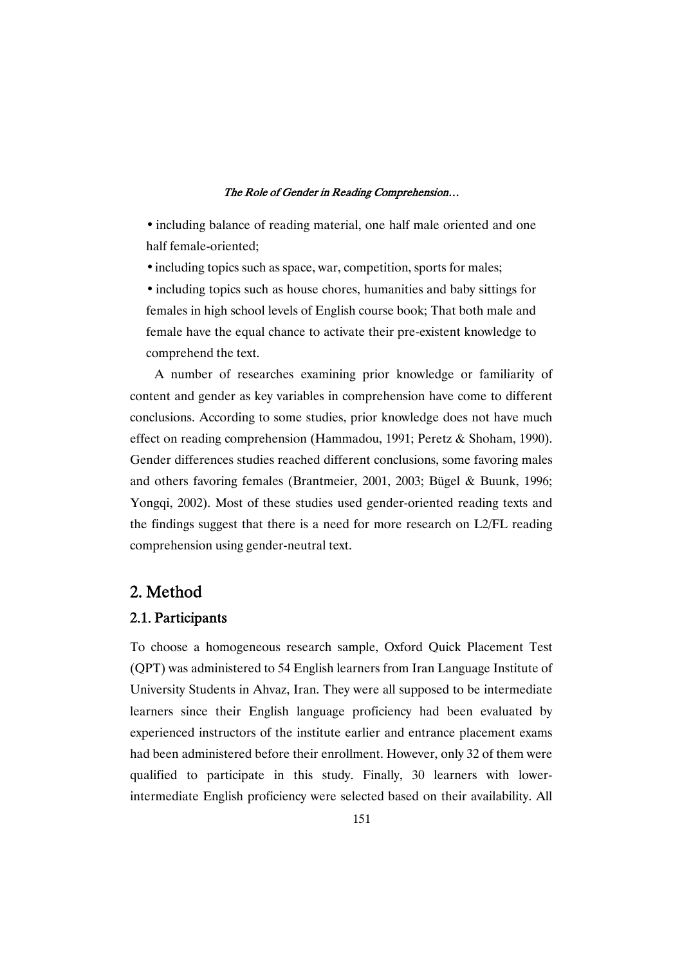• including balance of reading material, one half male oriented and one half female-oriented;

• including topics such as space, war, competition, sports for males;

• including topics such as house chores, humanities and baby sittings for females in high school levels of English course book; That both male and female have the equal chance to activate their pre-existent knowledge to comprehend the text.

A number of researches examining prior knowledge or familiarity of content and gender as key variables in comprehension have come to different conclusions. According to some studies, prior knowledge does not have much effect on reading comprehension (Hammadou, 1991; Peretz & Shoham, 1990). Gender differences studies reached different conclusions, some favoring males and others favoring females (Brantmeier, 2001, 2003; Bügel & Buunk, 1996; Yongqi, 2002). Most of these studies used gender-oriented reading texts and the findings suggest that there is a need for more research on L2/FL reading comprehension using gender-neutral text.

# 2.Method

### 2.1.Participants

To choose a homogeneous research sample, Oxford Quick Placement Test (QPT) was administered to 54 English learners from Iran Language Institute of University Students in Ahvaz, Iran. They were all supposed to be intermediate learners since their English language proficiency had been evaluated by experienced instructors of the institute earlier and entrance placement exams had been administered before their enrollment. However, only 32 of them were qualified to participate in this study. Finally, 30 learners with lowerintermediate English proficiency were selected based on their availability. All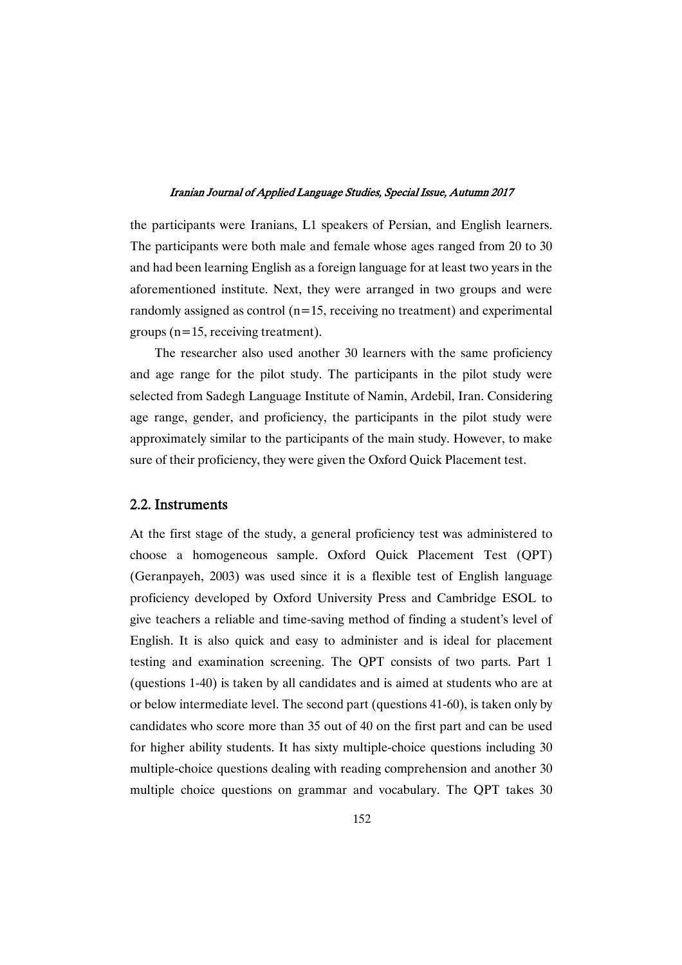the participants were Iranians, L1 speakers of Persian, and English learners. The participants were both male and female whose ages ranged from 20 to 30 and had been learning English as a foreign language for at least two years in the aforementioned institute. Next, they were arranged in two groups and were randomly assigned as control  $(n=15,$  receiving no treatment) and experimental groups (n=15, receiving treatment).

The researcher also used another 30 learners with the same proficiency and age range for the pilot study. The participants in the pilot study were selected from Sadegh Language Institute of Namin, Ardebil, Iran. Considering age range, gender, and proficiency, the participants in the pilot study were approximately similar to the participants of the main study. However, to make sure of their proficiency, they were given the Oxford Quick Placement test.

### 2.2.Instruments

At the first stage of the study, a general proficiency test was administered to choose a homogeneous sample. Oxford Quick Placement Test (QPT) (Geranpayeh, 2003) was used since it is a flexible test of English language proficiency developed by Oxford University Press and Cambridge ESOL to give teachers a reliable and time-saving method of finding a student's level of English. It is also quick and easy to administer and is ideal for placement testing and examination screening. The QPT consists of two parts. Part 1 (questions 1-40) is taken by all candidates and is aimed at students who are at or below intermediate level. The second part (questions 41-60), is taken only by candidates who score more than 35 out of 40 on the first part and can be used for higher ability students. It has sixty multiple-choice questions including 30 multiple-choice questions dealing with reading comprehension and another 30 multiple choice questions on grammar and vocabulary. The QPT takes 30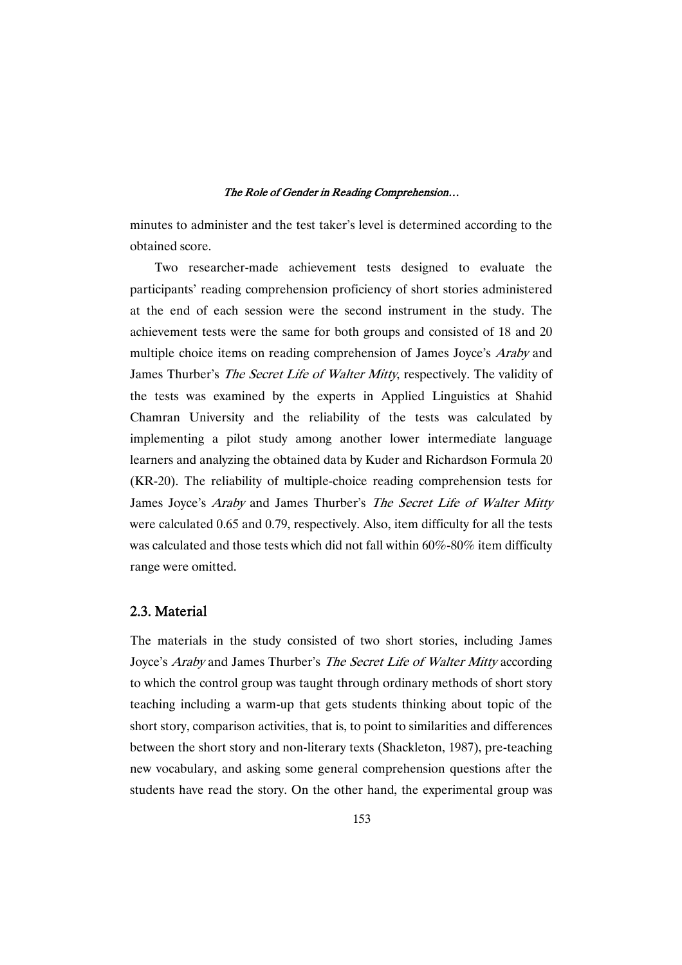minutes to administer and the test taker's level is determined according to the obtained score.

Two researcher-made achievement tests designed to evaluate the participants' reading comprehension proficiency of short stories administered at the end of each session were the second instrument in the study. The achievement tests were the same for both groups and consisted of 18 and 20 multiple choice items on reading comprehension of James Joyce's *Araby* and James Thurber's The Secret Life of Walter Mitty, respectively. The validity of the tests was examined by the experts in Applied Linguistics at Shahid Chamran University and the reliability of the tests was calculated by implementing a pilot study among another lower intermediate language learners and analyzing the obtained data by Kuder and Richardson Formula 20 (KR-20). The reliability of multiple-choice reading comprehension tests for James Joyce's *Araby* and James Thurber's *The Secret Life of Walter Mitty* were calculated 0.65 and 0.79, respectively. Also, item difficulty for all the tests was calculated and those tests which did not fall within 60%-80% item difficulty range were omitted.

# 2.3.Material

The materials in the study consisted of two short stories, including James Joyce's Araby and James Thurber's The Secret Life of Walter Mitty according to which the control group was taught through ordinary methods of short story teaching including a warm-up that gets students thinking about topic of the short story, comparison activities, that is, to point to similarities and differences between the short story and non-literary texts (Shackleton, 1987), pre-teaching new vocabulary, and asking some general comprehension questions after the students have read the story. On the other hand, the experimental group was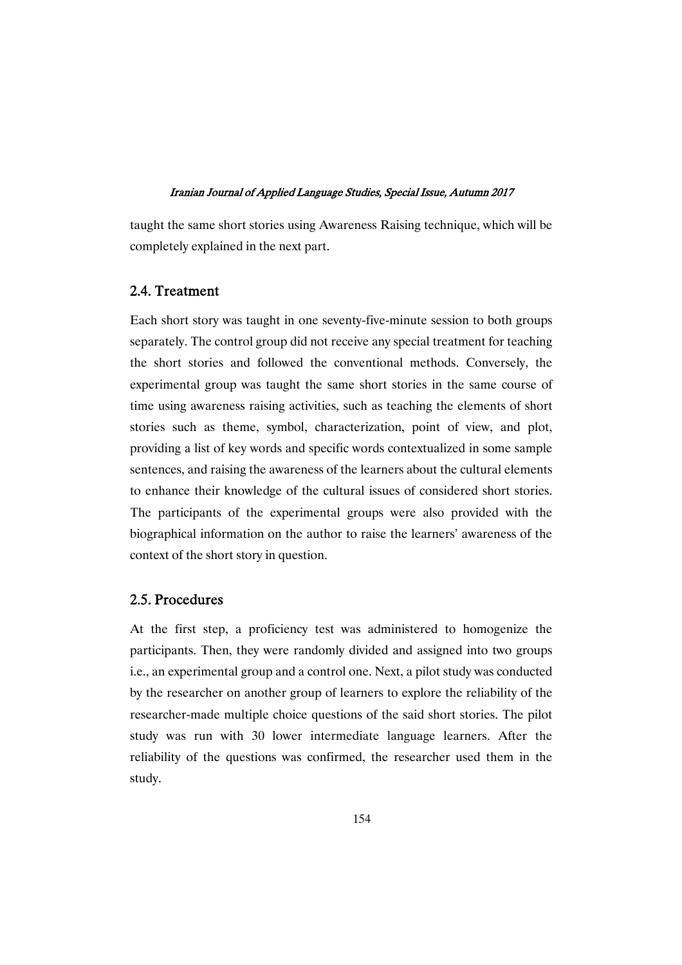taught the same short stories using Awareness Raising technique, which will be completely explained in the next part.

# 2.4.Treatment

Each short story was taught in one seventy-five-minute session to both groups separately. The control group did not receive any special treatment for teaching the short stories and followed the conventional methods. Conversely, the experimental group was taught the same short stories in the same course of time using awareness raising activities, such as teaching the elements of short stories such as theme, symbol, characterization, point of view, and plot, providing a list of key words and specific words contextualized in some sample sentences, and raising the awareness of the learners about the cultural elements to enhance their knowledge of the cultural issues of considered short stories. The participants of the experimental groups were also provided with the biographical information on the author to raise the learners' awareness of the context of the short story in question.

# 2.5.Procedures

At the first step, a proficiency test was administered to homogenize the participants. Then, they were randomly divided and assigned into two groups i.e., an experimental group and a control one. Next, a pilot study was conducted by the researcher on another group of learners to explore the reliability of the researcher-made multiple choice questions of the said short stories. The pilot study was run with 30 lower intermediate language learners. After the reliability of the questions was confirmed, the researcher used them in the study.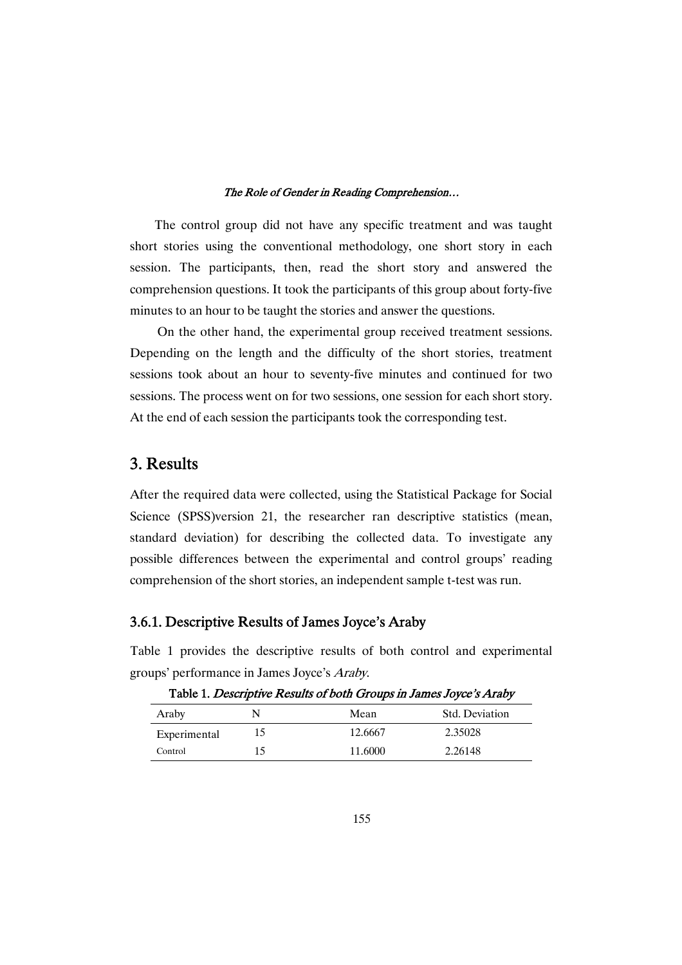The control group did not have any specific treatment and was taught short stories using the conventional methodology, one short story in each session. The participants, then, read the short story and answered the comprehension questions. It took the participants of this group about forty-five minutes to an hour to be taught the stories and answer the questions.

On the other hand, the experimental group received treatment sessions. Depending on the length and the difficulty of the short stories, treatment sessions took about an hour to seventy-five minutes and continued for two sessions. The process went on for two sessions, one session for each short story. At the end of each session the participants took the corresponding test.

# 3.Results

After the required data were collected, using the Statistical Package for Social Science (SPSS)version 21, the researcher ran descriptive statistics (mean, standard deviation) for describing the collected data. To investigate any possible differences between the experimental and control groups' reading comprehension of the short stories, an independent sample t-test was run.

# 3.6.1. Descriptive Results of James Joyce's Araby

Table 1 provides the descriptive results of both control and experimental groups' performance in James Joyce's Araby.

| Araby        |     | Mean    | <b>Std. Deviation</b> |
|--------------|-----|---------|-----------------------|
| Experimental | כ ו | 12.6667 | 2.35028               |
| Control      |     | 11.6000 | 2.26148               |

Table 1. Descriptive Results of both Groups in James Joyce's Araby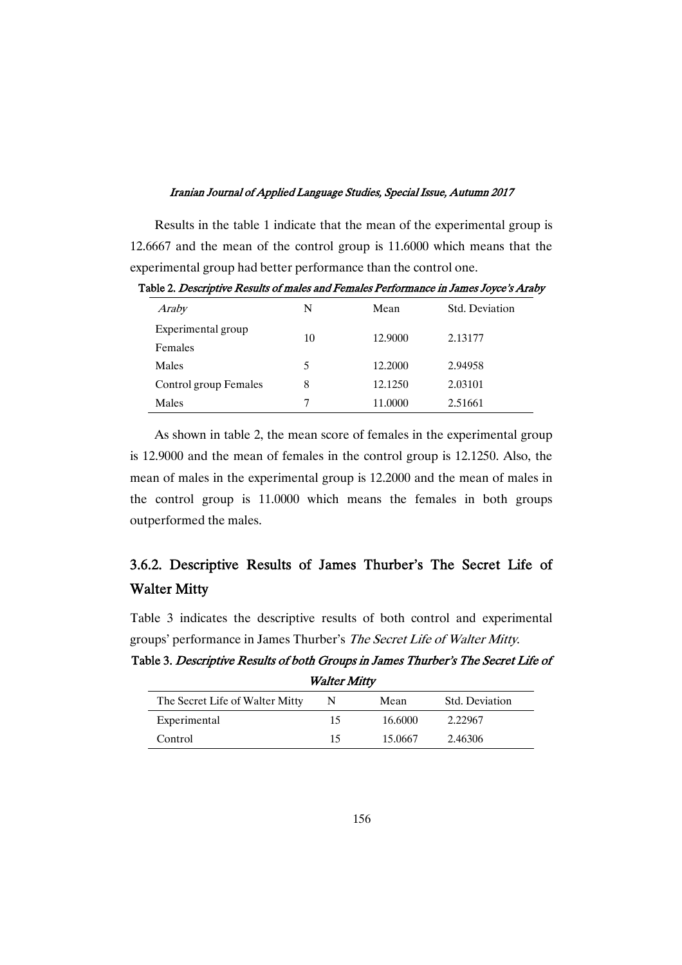Results in the table 1 indicate that the mean of the experimental group is 12.6667 and the mean of the control group is 11.6000 which means that the experimental group had better performance than the control one.

| Araby                 | N  | Mean    | Std. Deviation |  |
|-----------------------|----|---------|----------------|--|
| Experimental group    | 10 | 12.9000 | 2.13177        |  |
| Females               |    |         |                |  |
| Males                 | 5  | 12.2000 | 2.94958        |  |
| Control group Females | 8  | 12.1250 | 2.03101        |  |
| Males                 | 7  | 11.0000 | 2.51661        |  |

Table 2. Descriptive Results of males and Females Performance in James Joyce's Araby

As shown in table 2, the mean score of females in the experimental group is 12.9000 and the mean of females in the control group is 12.1250. Also, the mean of males in the experimental group is 12.2000 and the mean of males in the control group is 11.0000 which means the females in both groups outperformed the males.

# 3.6.2. Descriptive Results of James Thurber's The Secret Life of **Walter Mitty**

Table 3 indicates the descriptive results of both control and experimental groups' performance in James Thurber's The Secret Life of Walter Mitty.

Table 3. Descriptive Results of both Groups in James Thurber's The Secret Life of **Walter Mitty** 

| The Secret Life of Walter Mitty |    | Mean    | Std. Deviation |
|---------------------------------|----|---------|----------------|
| Experimental                    | 15 | 16.6000 | 2.22967        |
| Control                         | 15 | 15.0667 | 2.46306        |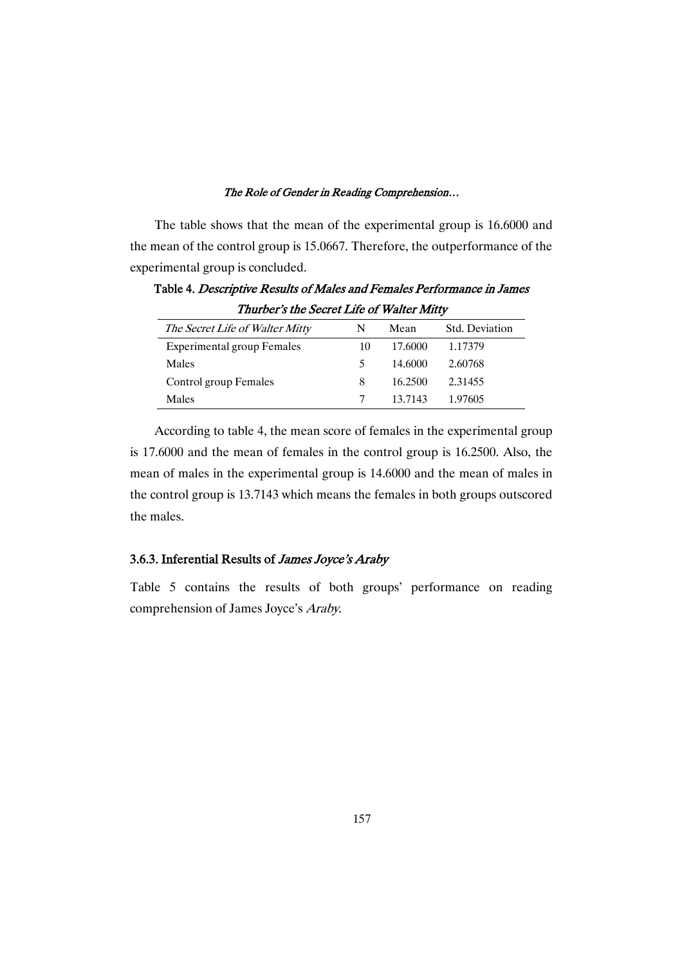The table shows that the mean of the experimental group is 16.6000 and the mean of the control group is 15.0667. Therefore, the outperformance of the experimental group is concluded.

The Secret Life of Walter Mitty N Mean Std. Deviation Experimental group Females  $10 \t 17.6000 \t 1.17379$ Males 5 14.6000 2.60768 Control group Females 8 16.2500 2.31455 Males 7 13.7143 1.97605

Table 4. Descriptive Results of Males and Females Performance in James Thurber's the Secret Life of Walter Mitty

According to table 4, the mean score of females in the experimental group is 17.6000 and the mean of females in the control group is 16.2500. Also, the mean of males in the experimental group is 14.6000 and the mean of males in the control group is 13.7143 which means the females in both groups outscored the males.

# 3.6.3. Inferential Results of James Joyce's Araby

Table 5 contains the results of both groups' performance on reading comprehension of James Joyce's Araby.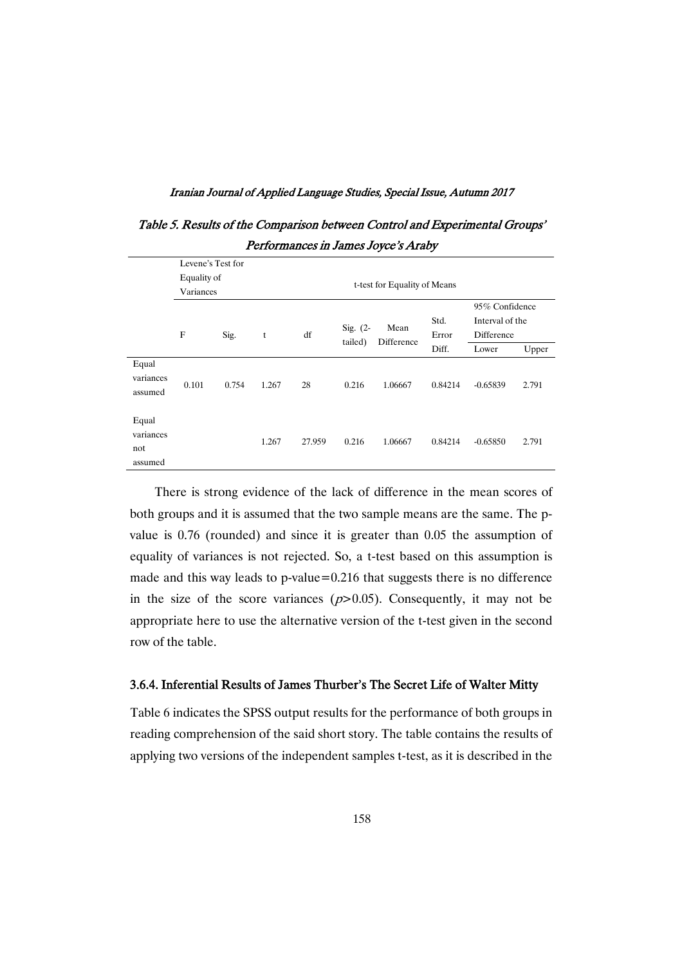| 1 <b>e</b> nomaneco m cameo coyee or nacy |                   |       |       |        |                              |                    |               |                                                 |       |  |
|-------------------------------------------|-------------------|-------|-------|--------|------------------------------|--------------------|---------------|-------------------------------------------------|-------|--|
|                                           | Levene's Test for |       |       |        |                              |                    |               |                                                 |       |  |
|                                           | Equality of       |       |       |        | t-test for Equality of Means |                    |               |                                                 |       |  |
|                                           | Variances         |       |       |        |                              |                    |               |                                                 |       |  |
|                                           | F                 | Sig.  | t     | df     | Sig. $(2 -$                  | Mean<br>Difference | Std.<br>Error | 95% Confidence<br>Interval of the<br>Difference |       |  |
|                                           |                   |       |       |        | tailed)                      |                    | Diff.         | Lower                                           | Upper |  |
| Equal<br>variances<br>assumed             | 0.101             | 0.754 | 1.267 | 28     | 0.216                        | 1.06667            | 0.84214       | $-0.65839$                                      | 2.791 |  |
| Equal<br>variances<br>not<br>assumed      |                   |       | 1.267 | 27.959 | 0.216                        | 1.06667            | 0.84214       | $-0.65850$                                      | 2.791 |  |

Table 5. Results of the Comparison between Control and Experimental Groups' Performances in James Joyce's Araby

There is strong evidence of the lack of difference in the mean scores of both groups and it is assumed that the two sample means are the same. The pvalue is 0.76 (rounded) and since it is greater than 0.05 the assumption of equality of variances is not rejected. So, a t-test based on this assumption is made and this way leads to p-value=0.216 that suggests there is no difference in the size of the score variances  $(p>0.05)$ . Consequently, it may not be appropriate here to use the alternative version of the t-test given in the second row of the table.

### 3.6.4. Inferential Results of James Thurber's The Secret Life of Walter Mitty

Table 6 indicates the SPSS output results for the performance of both groups in reading comprehension of the said short story. The table contains the results of applying two versions of the independent samples t-test, as it is described in the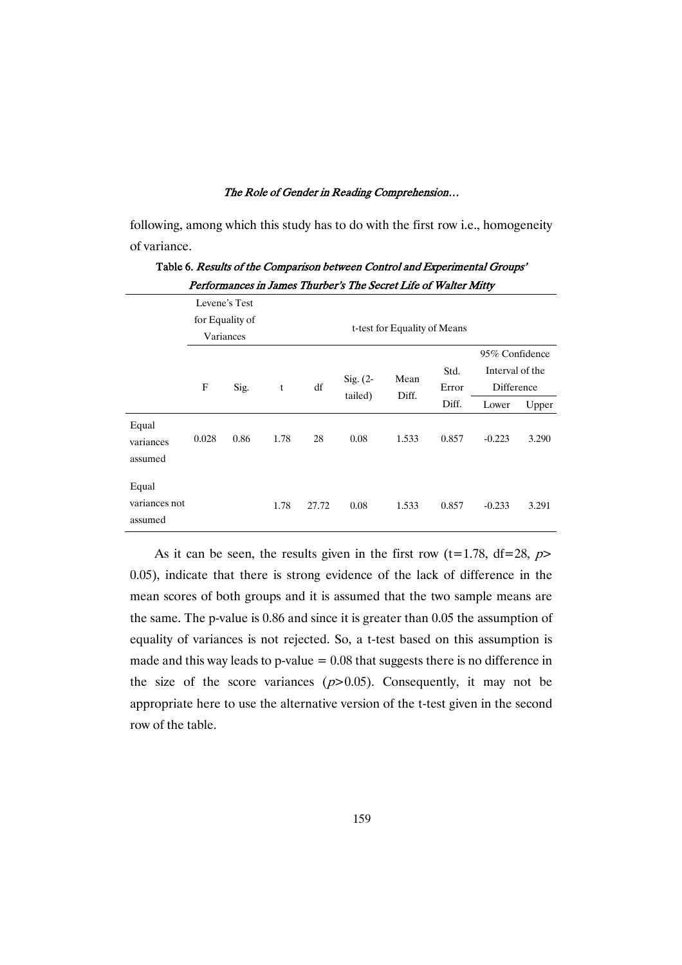following, among which this study has to do with the first row i.e., homogeneity of variance.

|                                   |                              |               |      |       |                              |               |               | ✔                             |       |
|-----------------------------------|------------------------------|---------------|------|-------|------------------------------|---------------|---------------|-------------------------------|-------|
|                                   |                              | Levene's Test |      |       |                              |               |               |                               |       |
|                                   | for Equality of<br>Variances |               |      |       | t-test for Equality of Means |               |               |                               |       |
|                                   |                              |               |      |       |                              |               |               | 95% Confidence                |       |
|                                   | $\mathbf F$                  | Sig.          | t    | df    | Sig. $(2-$                   | Mean<br>Diff. | Std.<br>Error | Interval of the<br>Difference |       |
|                                   |                              |               |      |       | tailed)                      |               | Diff.         | Lower                         | Upper |
| Equal<br>variances<br>assumed     | 0.028                        | 0.86          | 1.78 | 28    | 0.08                         | 1.533         | 0.857         | $-0.223$                      | 3.290 |
| Equal<br>variances not<br>assumed |                              |               | 1.78 | 27.72 | 0.08                         | 1.533         | 0.857         | $-0.233$                      | 3.291 |

Table 6. Results of the Comparison between Control and Experimental Groups' Performances in James Thurber's The Secret Life of Walter Mitty

As it can be seen, the results given in the first row (t=1.78, df=28,  $p$ > 0.05), indicate that there is strong evidence of the lack of difference in the mean scores of both groups and it is assumed that the two sample means are the same. The p-value is 0.86 and since it is greater than 0.05 the assumption of equality of variances is not rejected. So, a t-test based on this assumption is made and this way leads to p-value  $= 0.08$  that suggests there is no difference in the size of the score variances  $(p>0.05)$ . Consequently, it may not be appropriate here to use the alternative version of the t-test given in the second row of the table.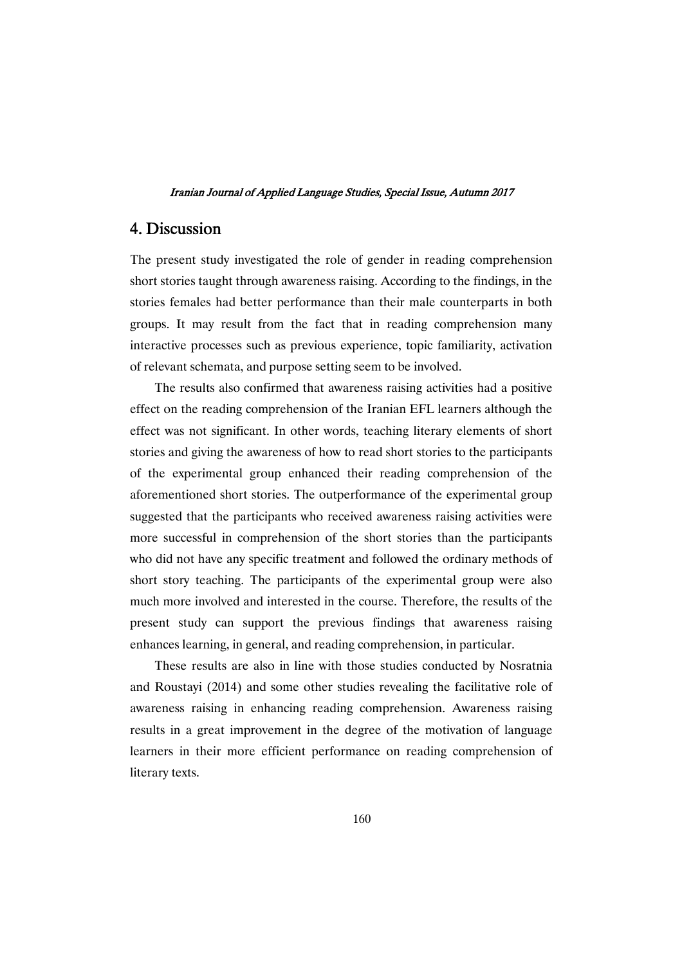# 4.Discussion

The present study investigated the role of gender in reading comprehension short stories taught through awareness raising. According to the findings, in the stories females had better performance than their male counterparts in both groups. It may result from the fact that in reading comprehension many interactive processes such as previous experience, topic familiarity, activation of relevant schemata, and purpose setting seem to be involved.

The results also confirmed that awareness raising activities had a positive effect on the reading comprehension of the Iranian EFL learners although the effect was not significant. In other words, teaching literary elements of short stories and giving the awareness of how to read short stories to the participants of the experimental group enhanced their reading comprehension of the aforementioned short stories. The outperformance of the experimental group suggested that the participants who received awareness raising activities were more successful in comprehension of the short stories than the participants who did not have any specific treatment and followed the ordinary methods of short story teaching. The participants of the experimental group were also much more involved and interested in the course. Therefore, the results of the present study can support the previous findings that awareness raising enhances learning, in general, and reading comprehension, in particular.

These results are also in line with those studies conducted by Nosratnia and Roustayi (2014) and some other studies revealing the facilitative role of awareness raising in enhancing reading comprehension. Awareness raising results in a great improvement in the degree of the motivation of language learners in their more efficient performance on reading comprehension of literary texts.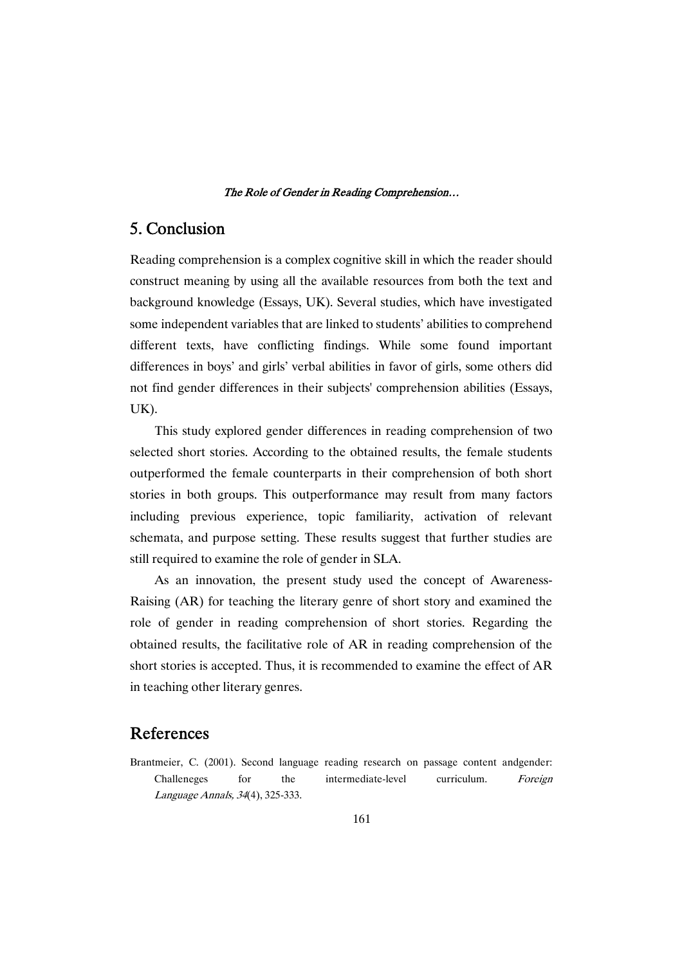# 5.Conclusion

Reading comprehension is a complex cognitive skill in which the reader should construct meaning by using all the available resources from both the text and background knowledge (Essays, UK). Several studies, which have investigated some independent variables that are linked to students' abilities to comprehend different texts, have conflicting findings. While some found important differences in boys' and girls' verbal abilities in favor of girls, some others did not find gender differences in their subjects' comprehension abilities (Essays, UK).

This study explored gender differences in reading comprehension of two selected short stories. According to the obtained results, the female students outperformed the female counterparts in their comprehension of both short stories in both groups. This outperformance may result from many factors including previous experience, topic familiarity, activation of relevant schemata, and purpose setting. These results suggest that further studies are still required to examine the role of gender in SLA.

As an innovation, the present study used the concept of Awareness-Raising (AR) for teaching the literary genre of short story and examined the role of gender in reading comprehension of short stories. Regarding the obtained results, the facilitative role of AR in reading comprehension of the short stories is accepted. Thus, it is recommended to examine the effect of AR in teaching other literary genres.

# References

Brantmeier, C. (2001). Second language reading research on passage content andgender: Challeneges for the intermediate-level curriculum. Foreign Language Annals, <sup>34</sup>(4), 325-333.